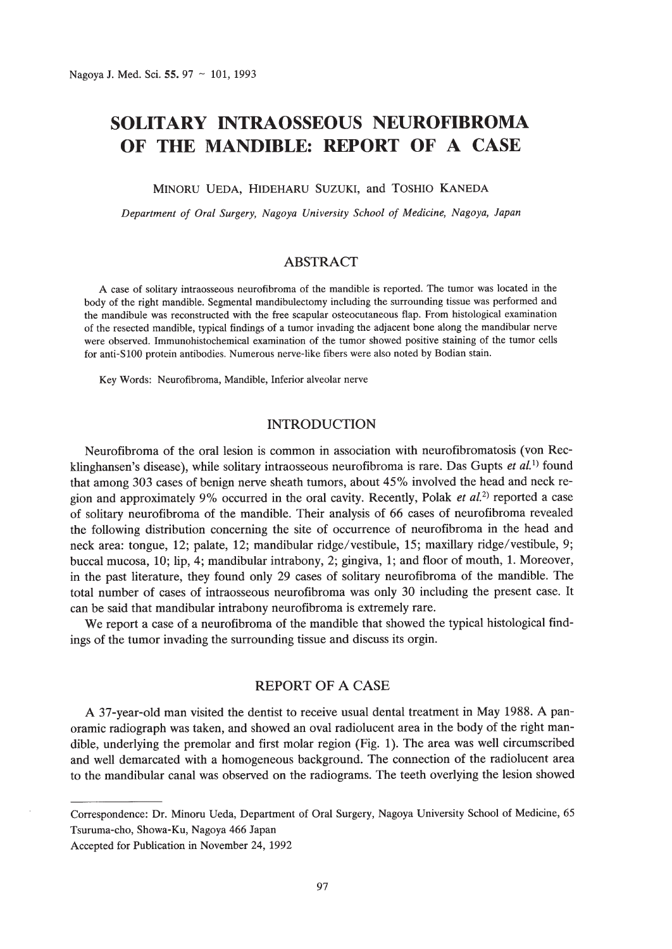# **SOLITARY INTRAOSSEOUS NEUROFIBROMA OF THE MANDIBLE: REPORT OF A CASE**

# MINORU VEDA, HIDEHARU SUZUKI, and TOSHIO KANEDA

*Department of Oral Surgery, Nagoya University School of Medicine, Nagoya, Japan*

# ABSTRACT

A case of solitary intraosseous neurofibroma of the mandible is reported. The tumor was located in the body of the right mandible. Segmental mandibulectomy including the surrounding tissue was performed and the mandibule was reconstructed with the free scapular osteocutaneous flap. From histological examination of the resected mandible, typical findings of a tumor invading the adjacent bone along the mandibular nerve were observed. Immunohistochemical examination of the tumor showed positive staining of the tumor cells for anti-SlOO protein antibodies. Numerous nerve-like fibers were also noted by Bodian stain.

Key Words: Neurofibroma, Mandible, Inferior alveolar nerve

## INTRODUCTION

Neurofibroma of the oral lesion is common in association with neurofibromatosis (von Recklinghansen's disease), while solitary intraosseous neurofibroma is rare. Das Gupts et al.<sup>1)</sup> found that among 303 cases of benign nerve sheath tumors, about 45% involved the head and neck region and approximately 9% occurred in the oral cavity. Recently, Polak *et al.2)* reported a case of solitary neurofibroma of the mandible. Their analysis of 66 cases of neurofibroma revealed the following distribution concerning the site of occurrence of neurofibroma in the head and neck area: tongue, 12; palate, 12; mandibular ridge/vestibule, 15; maxillary ridge/vestibule, 9; buccal mucosa, 10; lip, 4; mandibular intrabony, 2; gingiva, 1; and floor of mouth, 1. Moreover, in the past literature, they found only 29 cases of solitary neurofibroma of the mandible. The total number of cases of intraosseous neurofibroma was only 30 including the present case. It can be said that mandibular intrabony neurofibroma is extremely rare.

We report a case of a neurofibroma of the mandible that showed the typical histological findings of the tumor invading the surrounding tissue and discuss its orgin.

# REPORT OF A CASE

A 37-year-old man visited the dentist to receive usual dental treatment in May 1988. A panoramic radiograph was taken, and showed an oval radiolucent area in the body of the right mandible, underlying the premolar and first molar region (Fig. 1). The area was well circumscribed and well demarcated with a homogeneous background. The connection of the radiolucent area to the mandibular canal was observed on the radiograms. The teeth overlying the lesion showed

Correspondence: Dr. Minoru Ueda, Department of Oral Surgery, Nagoya University School of Medicine, 65 Tsuruma-cho, Showa-Ku, Nagoya 466 Japan

Accepted for Publication in November 24, 1992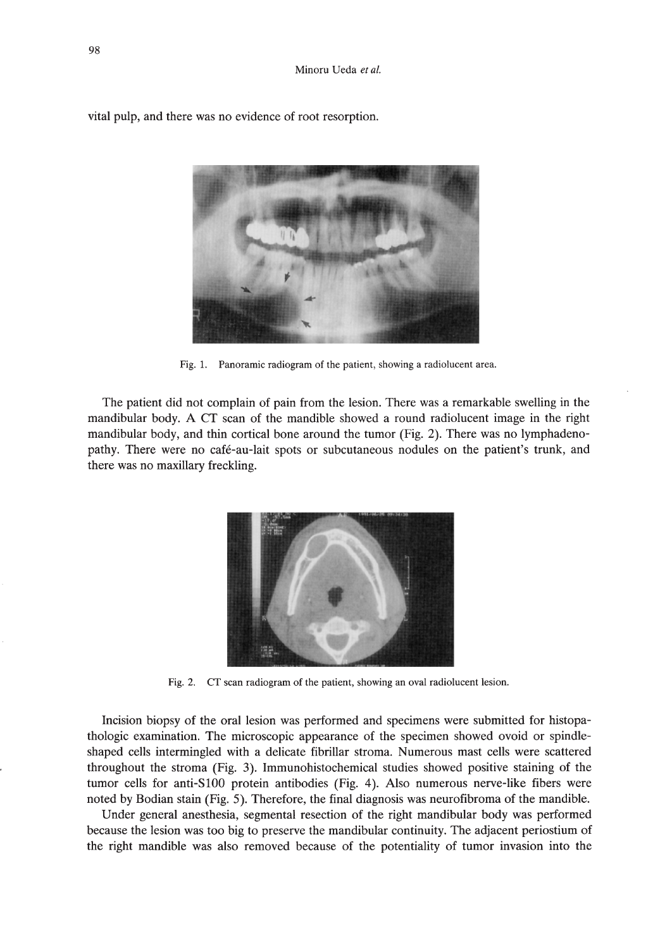

vital pulp, and there was no evidence of root resorption.

Fig. 1. Panoramic radiogram of the patient, showing a radiolucent area.

The patient did not complain of pain from the lesion. There was a remarkable swelling in the mandibular body. A CT scan of the mandible showed a round radiolucent image in the right mandibular body, and thin cortical bone around the tumor (Fig. 2). There was no lymphadenopathy. There were no cafe-au-Iait spots or subcutaneous nodules on the patient's trunk, and there was no maxillary freckling.



Fig. 2. CT scan radiogram of the patient, showing an oval radiolucent lesion.

Incision biopsy of the oral lesion was performed and specimens were submitted for histopathologic examination. The microscopic appearance of the specimen showed ovoid or spindleshaped cells intermingled with a delicate fibrillar stroma. Numerous mast cells were scattered throughout the stroma (Fig. 3). Immunohistochemical studies showed positive staining of the tumor cells for anti-SlOO protein antibodies (Fig. 4). Also numerous nerve-like fibers were noted by Bodian stain (Fig. 5). Therefore, the final diagnosis was neurofibroma of the mandible.

Under general anesthesia, segmental resection of the right mandibular body was performed because the lesion was too big to preserve the mandibular continuity. The adjacent periostium of the right mandible was also removed because of the potentiality of tumor invasion into the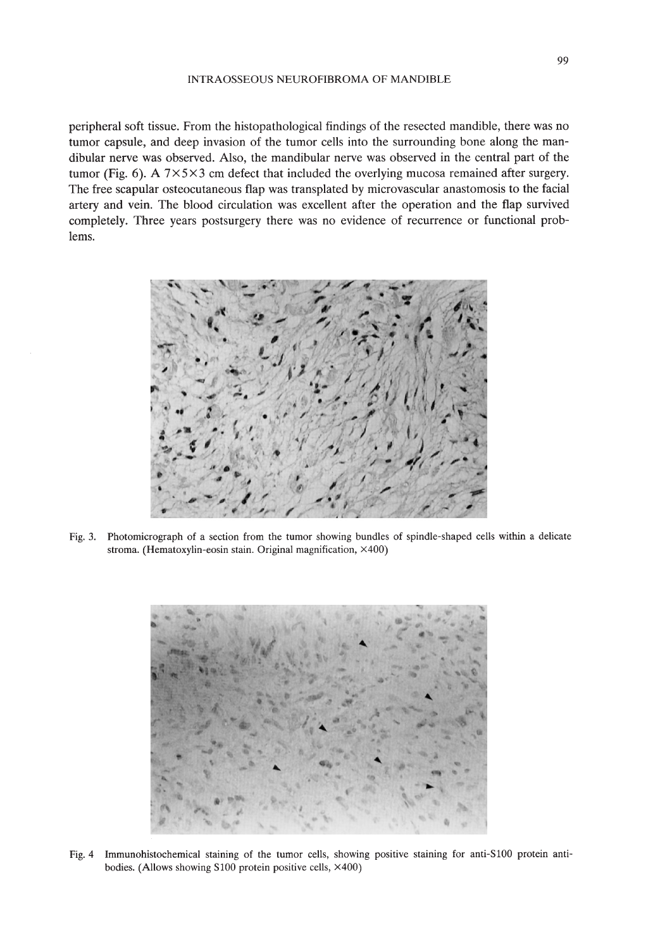#### INTRAOSSEOUS NEUROFIBROMA OF MANDIBLE

peripheral soft tissue. From the histopathological findings of the resected mandible, there was no tumor capsule, and deep invasion of the tumor cells into the surrounding bone along the mandibular nerve was observed. Also, the mandibular nerve was observed in the central part of the tumor (Fig. 6). A  $7 \times 5 \times 3$  cm defect that included the overlying mucosa remained after surgery. The free scapular osteocutaneous flap was transplated by microvascular anastomosis to the facial artery and vein. The blood circulation was excellent after the operation and the flap survived completely. Three years postsurgery there was no evidence of recurrence or functional problems.



Fig. 3. Photomicrograph of a section from the tumor showing bundles of spindle-shaped cells within a delicate stroma, (Hematoxylin-eosin stain. Original magnification, X400)



Fig. 4 Immunohistochemical staining of the tumor cells, showing positive staining for anti-SlOO protein antibodies. (Allows showing S100 protein positive cells, X400)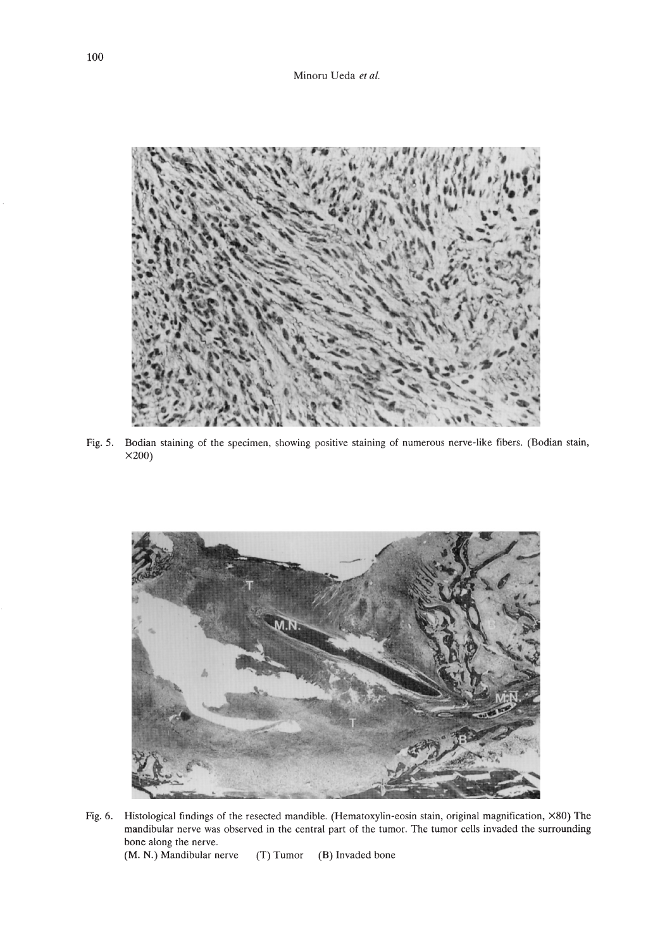

Fig. 5. Bodian staining of the specimen, showing positive staining of numerous nerve-like fibers. (Bodian stain, X200)



Fig. 6. Histological findings of the resected mandible. (Hematoxylin-eosin stain, original magnification, X80) The mandibular nerve was observed in the central part of the tumor. The tumor cells invaded the surrounding bone along the nerve.

(M. N.) Mandibular nerve (T) Tumor (B) Invaded bone